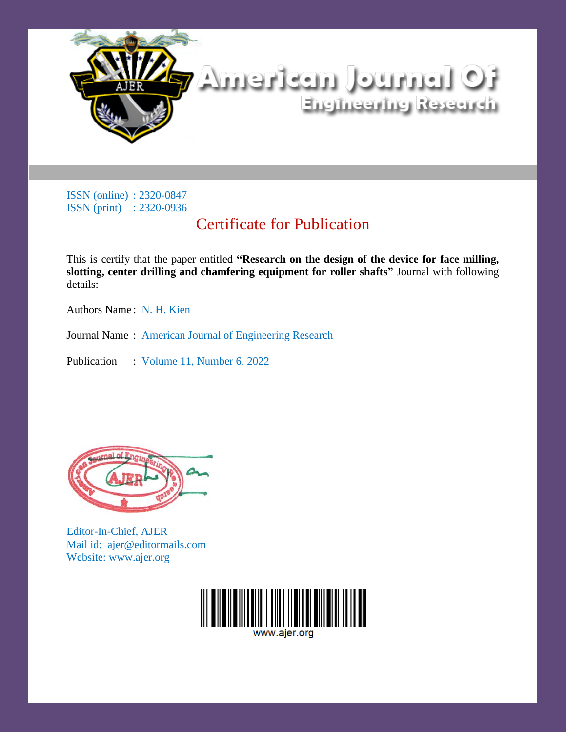

## Certificate for Publication

This is certify that the paper entitled **"Research on the design of the device for face milling, slotting, center drilling and chamfering equipment for roller shafts"** Journal with following details:

Authors Name : N. H. Kien

Journal Name : American Journal of Engineering Research

Publication : Volume 11, Number 6, 2022



Editor-In-Chief, AJER Mail id: ajer@editormails.com Website: www.ajer.org

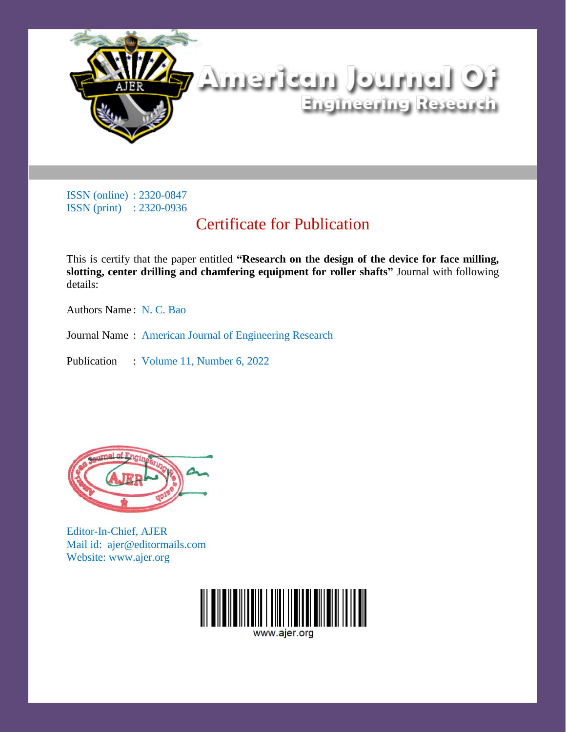

## Certificate for Publication

This is certify that the paper entitled **"Research on the design of the device for face milling, slotting, center drilling and chamfering equipment for roller shafts"** Journal with following details:

Authors Name : N. C. Bao

Journal Name : American Journal of Engineering Research

Publication : Volume 11, Number 6, 2022



Editor-In-Chief, AJER Mail id: ajer@editormails.com Website: www.ajer.org

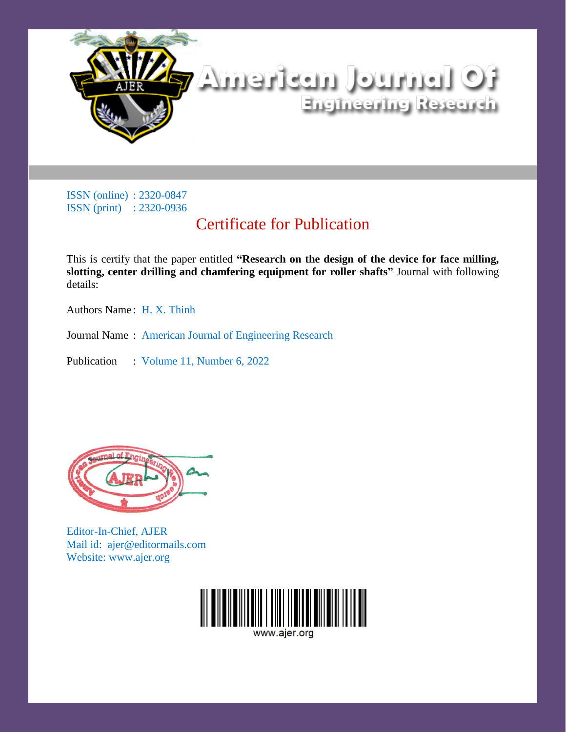

## Certificate for Publication

This is certify that the paper entitled **"Research on the design of the device for face milling, slotting, center drilling and chamfering equipment for roller shafts"** Journal with following details:

Authors Name : H. X. Thinh

Journal Name : American Journal of Engineering Research

Publication : Volume 11, Number 6, 2022



Editor-In-Chief, AJER Mail id: ajer@editormails.com Website: www.ajer.org